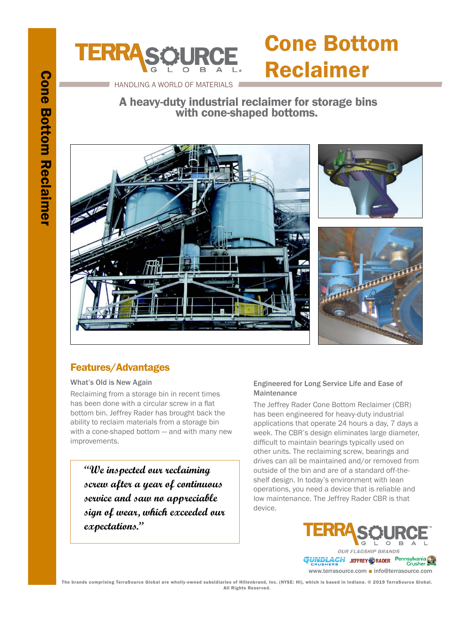# **Cone Bottom Reclaimer** Cone Bottom Reclaimer



### Cone Bottom Reclaimer

HANDLING A WORLD OF MATERIALS

 A heavy-duty industrial reclaimer for storage bins with cone-shaped bottoms.



#### Features/Advantages

What's Old is New Again

Reclaiming from a storage bin in recent times has been done with a circular screw in a flat bottom bin. Jeffrey Rader has brought back the ability to reclaim materials from a storage bin with a cone-shaped bottom — and with many new improvements.

**"We inspected our reclaiming screw after a year of continuous service and saw no appreciable sign of wear, which exceeded our expectations."**

#### Engineered for Long Service Life and Ease of **Maintenance**

The Jeffrey Rader Cone Bottom Reclaimer (CBR) has been engineered for heavy-duty industrial applications that operate 24 hours a day, 7 days a week. The CBR's design eliminates large diameter, difficult to maintain bearings typically used on other units. The reclaiming screw, bearings and drives can all be maintained and/or removed from outside of the bin and are of a standard off-theshelf design. In today's environment with lean operations, you need a device that is reliable and low maintenance. The Jeffrey Rader CBR is that device.